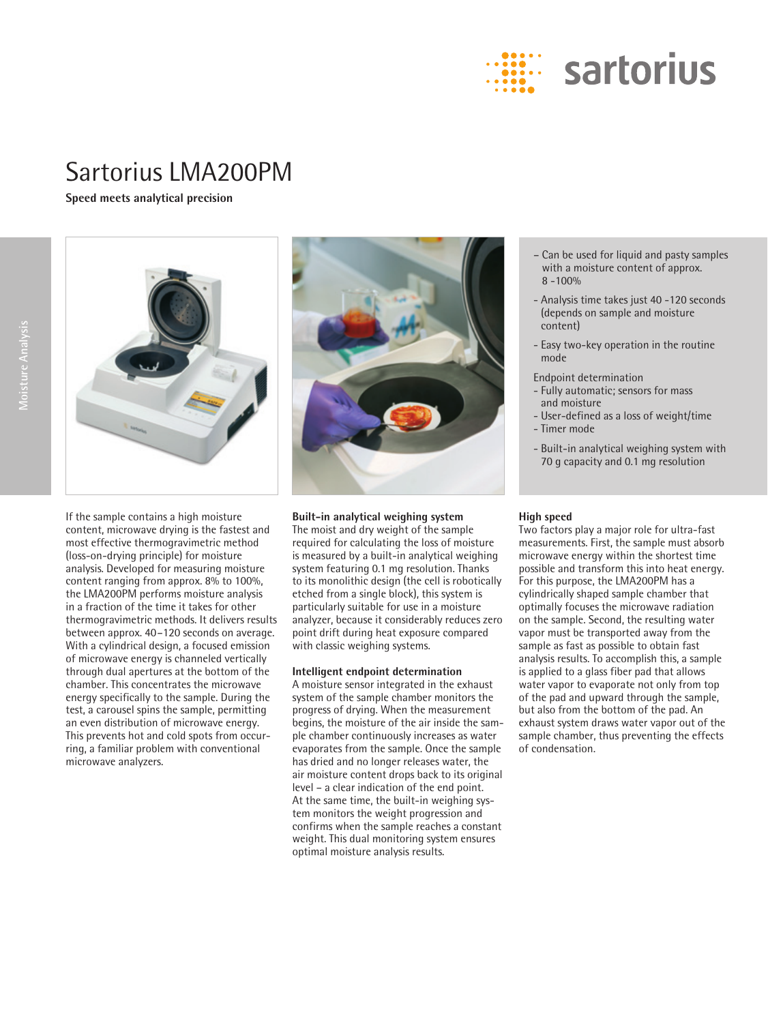

## Sartorius LMA200PM

**Speed meets analytical precision**





If the sample contains a high moisture content, microwave drying is the fastest and most effective thermogravimetric method (loss-on-drying principle) for moisture analysis. Developed for measuring moisture content ranging from approx. 8% to 100%, the LMA200PM performs moisture analysis in a fraction of the time it takes for other thermogravimetric methods. It delivers results between approx. 40–120 seconds on average. With a cylindrical design, a focused emission of microwave energy is channeled vertically through dual apertures at the bottom of the chamber. This concentrates the microwave energy specifically to the sample. During the test, a carousel spins the sample, permitting an even distribution of microwave energy. This prevents hot and cold spots from occurring, a familiar problem with conventional microwave analyzers.



**Built-in analytical weighing system**

The moist and dry weight of the sample required for calculating the loss of moisture is measured by a built-in analytical weighing system featuring 0.1 mg resolution. Thanks to its monolithic design (the cell is robotically etched from a single block), this system is particularly suitable for use in a moisture analyzer, because it considerably reduces zero point drift during heat exposure compared with classic weighing systems.

## **Intelligent endpoint determination**

A moisture sensor integrated in the exhaust system of the sample chamber monitors the progress of drying. When the measurement begins, the moisture of the air inside the sample chamber continuously increases as water evaporates from the sample. Once the sample has dried and no longer releases water, the air moisture content drops back to its original level – a clear indication of the end point. At the same time, the built-in weighing system monitors the weight progression and confirms when the sample reaches a constant weight. This dual monitoring system ensures optimal moisture analysis results.

- Can be used for liquid and pasty samples with a moisture content of approx.  $8 - 100%$
- Analysis time takes just 40 -120 seconds (depends on sample and moisture content)
- Easy two-key operation in the routine mode

Endpoint determination

- Fully automatic; sensors for mass and moisture
- User-defined as a loss of weight/time - Timer mode
- 
- Built-in analytical weighing system with 70 g capacity and 0.1 mg resolution

## **High speed**

Two factors play a major role for ultra-fast measurements. First, the sample must absorb microwave energy within the shortest time possible and transform this into heat energy. For this purpose, the LMA200PM has a cylindrically shaped sample chamber that optimally focuses the microwave radiation on the sample. Second, the resulting water vapor must be transported away from the sample as fast as possible to obtain fast analysis results. To accomplish this, a sample is applied to a glass fiber pad that allows water vapor to evaporate not only from top of the pad and upward through the sample, but also from the bottom of the pad. An exhaust system draws water vapor out of the sample chamber, thus preventing the effects of condensation.